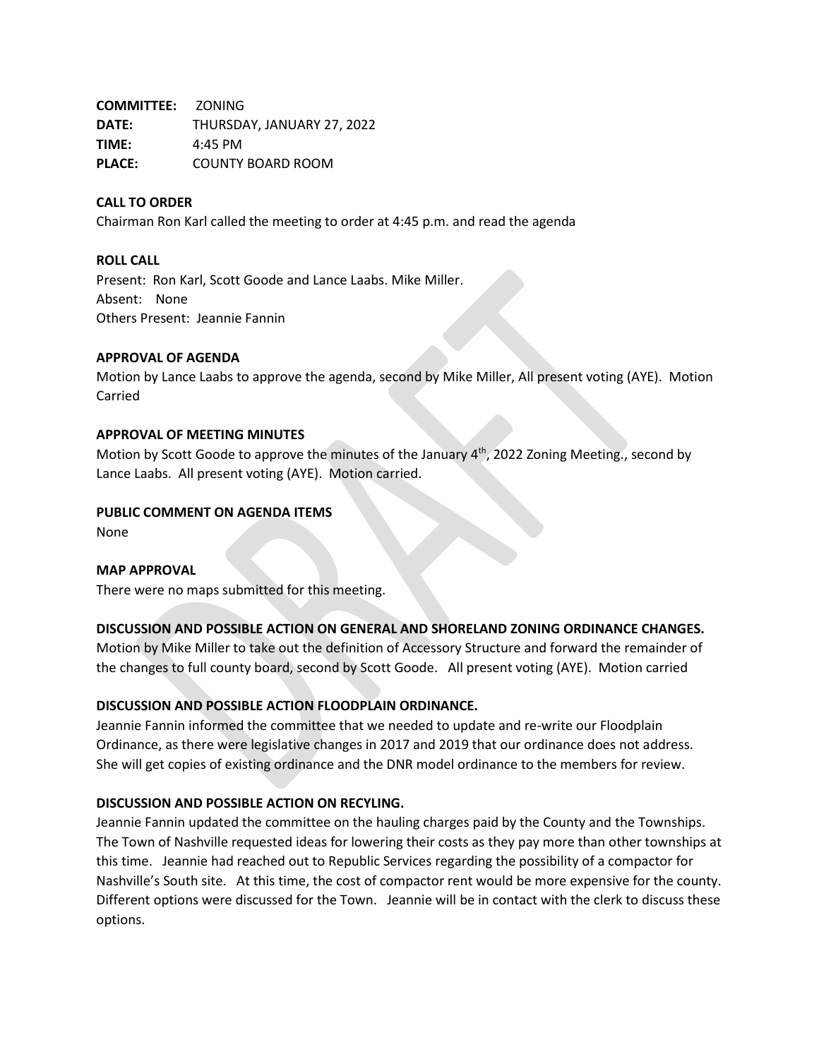**COMMITTEE:** ZONING **DATE:** THURSDAY, JANUARY 27, 2022 **TIME:** 4:45 PM **PLACE:** COUNTY BOARD ROOM

## **CALL TO ORDER**

Chairman Ron Karl called the meeting to order at 4:45 p.m. and read the agenda

#### **ROLL CALL**

Present: Ron Karl, Scott Goode and Lance Laabs. Mike Miller. Absent: None Others Present: Jeannie Fannin

## **APPROVAL OF AGENDA**

Motion by Lance Laabs to approve the agenda, second by Mike Miller, All present voting (AYE). Motion Carried

## **APPROVAL OF MEETING MINUTES**

Motion by Scott Goode to approve the minutes of the January  $4<sup>th</sup>$ , 2022 Zoning Meeting., second by Lance Laabs. All present voting (AYE). Motion carried.

## **PUBLIC COMMENT ON AGENDA ITEMS**

None

#### **MAP APPROVAL**

There were no maps submitted for this meeting.

# **DISCUSSION AND POSSIBLE ACTION ON GENERAL AND SHORELAND ZONING ORDINANCE CHANGES.**

Motion by Mike Miller to take out the definition of Accessory Structure and forward the remainder of the changes to full county board, second by Scott Goode. All present voting (AYE). Motion carried

# **DISCUSSION AND POSSIBLE ACTION FLOODPLAIN ORDINANCE.**

Jeannie Fannin informed the committee that we needed to update and re-write our Floodplain Ordinance, as there were legislative changes in 2017 and 2019 that our ordinance does not address. She will get copies of existing ordinance and the DNR model ordinance to the members for review.

## **DISCUSSION AND POSSIBLE ACTION ON RECYLING.**

Jeannie Fannin updated the committee on the hauling charges paid by the County and the Townships. The Town of Nashville requested ideas for lowering their costs as they pay more than other townships at this time. Jeannie had reached out to Republic Services regarding the possibility of a compactor for Nashville's South site. At this time, the cost of compactor rent would be more expensive for the county. Different options were discussed for the Town. Jeannie will be in contact with the clerk to discuss these options.